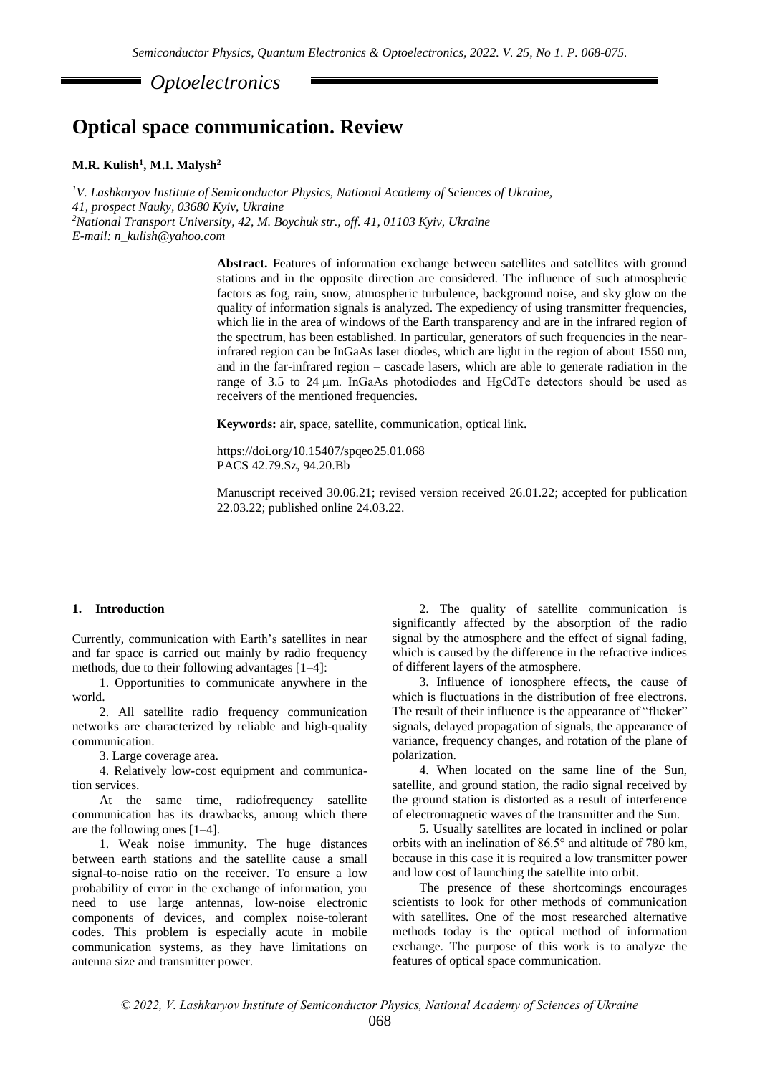*Optoelectronics* 

# **Optical space communication. Review**

## **M.R. Kulish<sup>1</sup> , М.І. Malysh<sup>2</sup>**

*<sup>1</sup>V. Lashkaryov Institute of Semiconductor Physics, National Academy of Sciences of Ukraine, 41, prospect Nauky, 03680 Kyiv, Ukraine <sup>2</sup>National Transport University, 42, M. Boychuk str., off. 41, 01103 Kyiv, Ukraine E-mail: n\_kulish@yahoo.com*

> **Abstract.** Features of information exchange between satellites and satellites with ground stations and in the opposite direction are considered. The influence of such atmospheric factors as fog, rain, snow, atmospheric turbulence, background noise, and sky glow on the quality of information signals is analyzed. The expediency of using transmitter frequencies, which lie in the area of windows of the Earth transparency and are in the infrared region of the spectrum, has been established. In particular, generators of such frequencies in the nearinfrared region can be InGaAs laser diodes, which are light in the region of about 1550 nm, and in the far-infrared region – cascade lasers, which are able to generate radiation in the range of 3.5 to 24 μm. InGaAs photodiodes and HgCdTe detectors should be used as receivers of the mentioned frequencies.

**Keywords:** air, space, satellite, communication, optical link.

https://doi.org/10.15407/spqeo25.01.068 PACS 42.79.Sz, 94.20.Bb

Manuscript received 30.06.21; revised version received 26.01.22; accepted for publication 22.03.22; published online 24.03.22.

# **1. Introduction**

Currently, communication with Earth's satellites in near and far space is carried out mainly by radio frequency methods, due to their following advantages [1–4]:

1. Opportunities to communicate anywhere in the world.

2. All satellite radio frequency communication networks are characterized by reliable and high-quality communication.

3. Large coverage area.

4. Relatively low-cost equipment and communication services.

At the same time, radiofrequency satellite communication has its drawbacks, among which there are the following ones [1–4].

1. Weak noise immunity. The huge distances between earth stations and the satellite cause a small signal-to-noise ratio on the receiver. To ensure a low probability of error in the exchange of information, you need to use large antennas, low-noise electronic components of devices, and complex noise-tolerant codes. This problem is especially acute in mobile communication systems, as they have limitations on antenna size and transmitter power.

2. The quality of satellite communication is significantly affected by the absorption of the radio signal by the atmosphere and the effect of signal fading, which is caused by the difference in the refractive indices of different layers of the atmosphere.

3. Influence of ionosphere effects, the cause of which is fluctuations in the distribution of free electrons. The result of their influence is the appearance of "flicker" signals, delayed propagation of signals, the appearance of variance, frequency changes, and rotation of the plane of polarization.

4. When located on the same line of the Sun, satellite, and ground station, the radio signal received by the ground station is distorted as a result of interference of electromagnetic waves of the transmitter and the Sun.

5. Usually satellites are located in inclined or polar orbits with an inclination of 86.5° and altitude of 780 km, because in this case it is required a low transmitter power and low cost of launching the satellite into orbit.

The presence of these shortcomings encourages scientists to look for other methods of communication with satellites. One of the most researched alternative methods today is the optical method of information exchange. The purpose of this work is to analyze the features of optical space communication.

*© 2022, V. Lashkaryov Institute of Semiconductor Physics, National Academy of Sciences of Ukraine*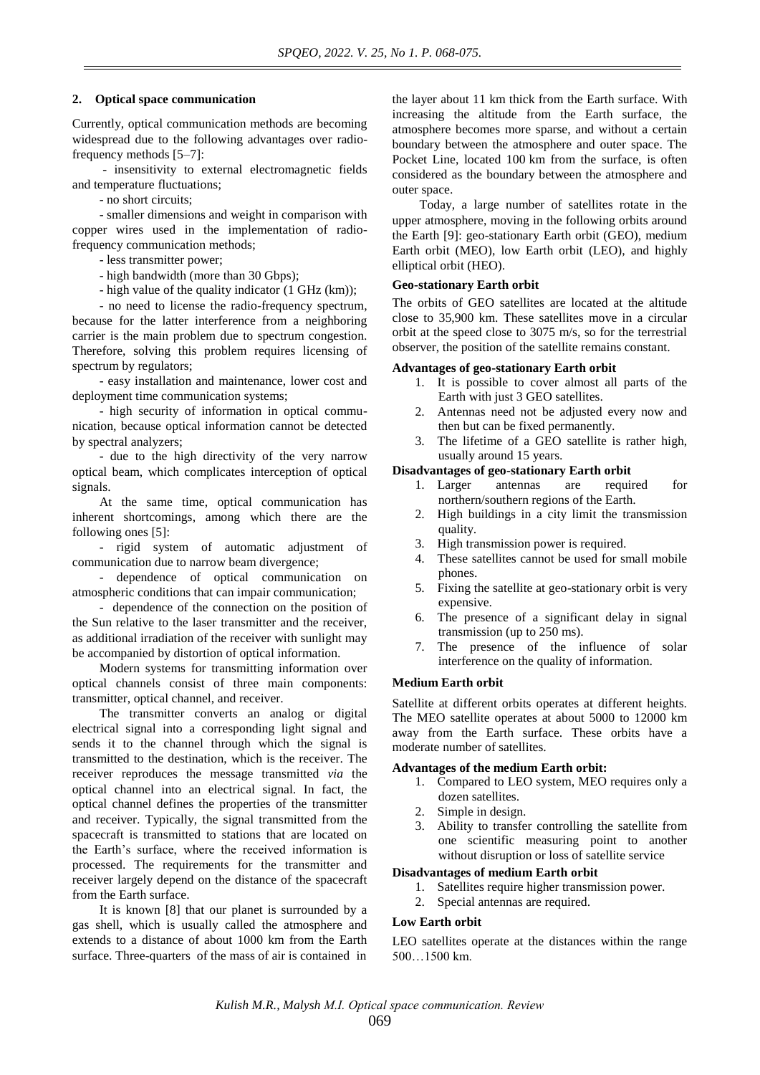# **2. Optical space communication**

Currently, optical communication methods are becoming widespread due to the following advantages over radiofrequency methods [5–7]:

- insensitivity to external electromagnetic fields and temperature fluctuations;

- no short circuits;

- smaller dimensions and weight in comparison with copper wires used in the implementation of radiofrequency communication methods;

- less transmitter power;

- high bandwidth (more than 30 Gbps);

- high value of the quality indicator (1 GHz (km));

- no need to license the radio-frequency spectrum, because for the latter interference from a neighboring carrier is the main problem due to spectrum congestion. Therefore, solving this problem requires licensing of spectrum by regulators;

- easy installation and maintenance, lower cost and deployment time communication systems;

- high security of information in optical communication, because optical information cannot be detected by spectral analyzers;

- due to the high directivity of the very narrow optical beam, which complicates interception of optical signals.

At the same time, optical communication has inherent shortcomings, among which there are the following ones [5]:

- rigid system of automatic adjustment of communication due to narrow beam divergence;

- dependence of optical communication on atmospheric conditions that can impair communication;

- dependence of the connection on the position of the Sun relative to the laser transmitter and the receiver, as additional irradiation of the receiver with sunlight may be accompanied by distortion of optical information.

Modern systems for transmitting information over optical channels consist of three main components: transmitter, optical channel, and receiver.

The transmitter converts an analog or digital electrical signal into a corresponding light signal and sends it to the channel through which the signal is transmitted to the destination, which is the receiver. The receiver reproduces the message transmitted *via* the optical channel into an electrical signal. In fact, the optical channel defines the properties of the transmitter and receiver. Typically, the signal transmitted from the spacecraft is transmitted to stations that are located on the Earth's surface, where the received information is processed. The requirements for the transmitter and receiver largely depend on the distance of the spacecraft from the Earth surface.

It is known [8] that our planet is surrounded by a gas shell, which is usually called the atmosphere and extends to a distance of about 1000 km from the Earth surface. Three-quarters of the mass of air is contained in

the layer about 11 km thick from the Earth surface. With increasing the altitude from the Earth surface, the atmosphere becomes more sparse, and without a certain boundary between the atmosphere and outer space. The Pocket Line, located 100 km from the surface, is often considered as the boundary between the atmosphere and outer space.

Today, a large number of satellites rotate in the upper atmosphere, moving in the following orbits around the Earth [9]: geo-stationary Earth orbit (GEO), medium Earth orbit (MEO), low Earth orbit (LEO), and highly elliptical orbit (HEO).

# **Geo-stationary Earth orbit**

The orbits of GEO satellites are located at the altitude close to 35,900 km. These satellites move in a circular orbit at the speed close to 3075 m/s, so for the terrestrial observer, the position of the satellite remains constant.

### **Advantages of geo-stationary Earth orbit**

- 1. It is possible to cover almost all parts of the Earth with just 3 GEO satellites.
- 2. Antennas need not be adjusted every now and then but can be fixed permanently.
- 3. The lifetime of a GEO satellite is rather high, usually around 15 years.

# **Disadvantages of geo-stationary Earth orbit**

- 1. Larger antennas are required for northern/southern regions of the Earth.
- 2. High buildings in a city limit the transmission quality.
- 3. High transmission power is required.
- 4. These satellites cannot be used for small mobile phones.
- 5. Fixing the satellite at geo-stationary orbit is very expensive.
- 6. The presence of a significant delay in signal transmission (up to 250 ms).
- 7. The presence of the influence of solar interference on the quality of information.

# **Medium Earth orbit**

Satellite at different orbits operates at different heights. The MEO satellite operates at about 5000 to 12000 km away from the Earth surface. These orbits have a moderate number of satellites.

# **Advantages of the medium Earth orbit:**

- 1. Compared to LEO system, MEO requires only a dozen satellites.
- 2. Simple in design.
- 3. Ability to transfer controlling the satellite from one scientific measuring point to another without disruption or loss of satellite service

# **Disadvantages of medium Earth orbit**

- 1. Satellites require higher transmission power.
- 2. Special antennas are required.

# **Low Earth orbit**

LEO satellites operate at the distances within the range 500…1500 km.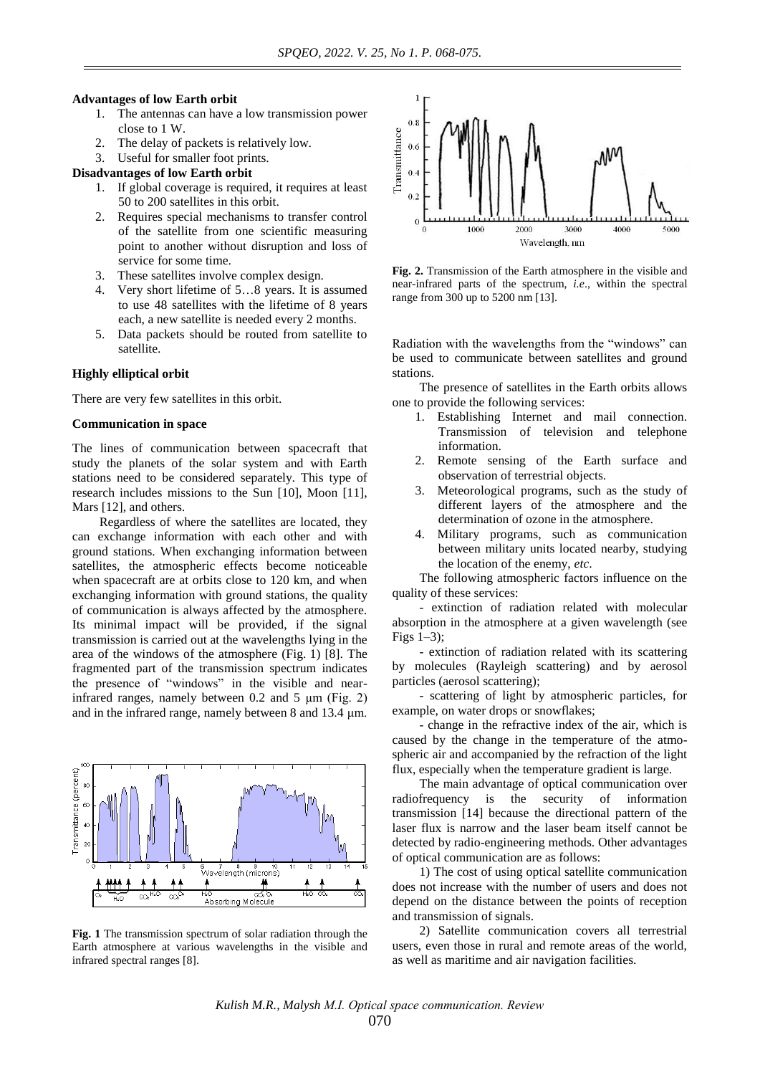#### **Advantages of low Earth orbit**

- 1. The antennas can have a low transmission power close to 1 W.
- 2. The delay of packets is relatively low.
- 3. Useful for smaller foot prints.

**Disadvantages of low Earth orbit**

- 1. If global coverage is required, it requires at least 50 to 200 satellites in this orbit.
- 2. Requires special mechanisms to transfer control of the satellite from one scientific measuring point to another without disruption and loss of service for some time.
- 3. These satellites involve complex design.
- 4. Very short lifetime of 5…8 years. It is assumed to use 48 satellites with the lifetime of 8 years each, a new satellite is needed every 2 months.
- 5. Data packets should be routed from satellite to satellite.

### **Highly elliptical orbit**

There are very few satellites in this orbit.

# **Communication in space**

The lines of communication between spacecraft that study the planets of the solar system and with Earth stations need to be considered separately. This type of research includes missions to the Sun [10], Moon [11], Mars [12], and others.

Regardless of where the satellites are located, they can exchange information with each other and with ground stations. When exchanging information between satellites, the atmospheric effects become noticeable when spacecraft are at orbits close to 120 km, and when exchanging information with ground stations, the quality of communication is always affected by the atmosphere. Its minimal impact will be provided, if the signal transmission is carried out at the wavelengths lying in the area of the windows of the atmosphere (Fig. 1) [8]. The fragmented part of the transmission spectrum indicates the presence of "windows" in the visible and nearinfrared ranges, namely between 0.2 and 5 μm (Fig. 2) and in the infrared range, namely between 8 and 13.4 μm.



**Fig. 1** The transmission spectrum of solar radiation through the Earth atmosphere at various wavelengths in the visible and infrared spectral ranges [8].



**Fig. 2.** Transmission of the Earth atmosphere in the visible and near-infrared parts of the spectrum, *i.e*., within the spectral range from 300 up to 5200 nm [13].

Radiation with the wavelengths from the "windows" can be used to communicate between satellites and ground stations.

The presence of satellites in the Earth orbits allows one to provide the following services:

- 1. Establishing Internet and mail connection. Transmission of television and telephone information.
- 2. Remote sensing of the Earth surface and observation of terrestrial objects.
- Meteorological programs, such as the study of different layers of the atmosphere and the determination of ozone in the atmosphere.
- 4. Military programs, such as communication between military units located nearby, studying the location of the enemy, *etc*.

The following atmospheric factors influence on the quality of these services:

- extinction of radiation related with molecular absorption in the atmosphere at a given wavelength (see Figs 1–3);

- extinction of radiation related with its scattering by molecules (Rayleigh scattering) and by aerosol particles (aerosol scattering);

- scattering of light by atmospheric particles, for example, on water drops or snowflakes;

- change in the refractive index of the air, which is caused by the change in the temperature of the atmospheric air and accompanied by the refraction of the light flux, especially when the temperature gradient is large.

The main advantage of optical communication over radiofrequency is the security of information transmission [14] because the directional pattern of the laser flux is narrow and the laser beam itself cannot be detected by radio-engineering methods. Other advantages of optical communication are as follows:

1) The cost of using optical satellite communication does not increase with the number of users and does not depend on the distance between the points of reception and transmission of signals.

2) Satellite communication covers all terrestrial users, even those in rural and remote areas of the world, as well as maritime and air navigation facilities.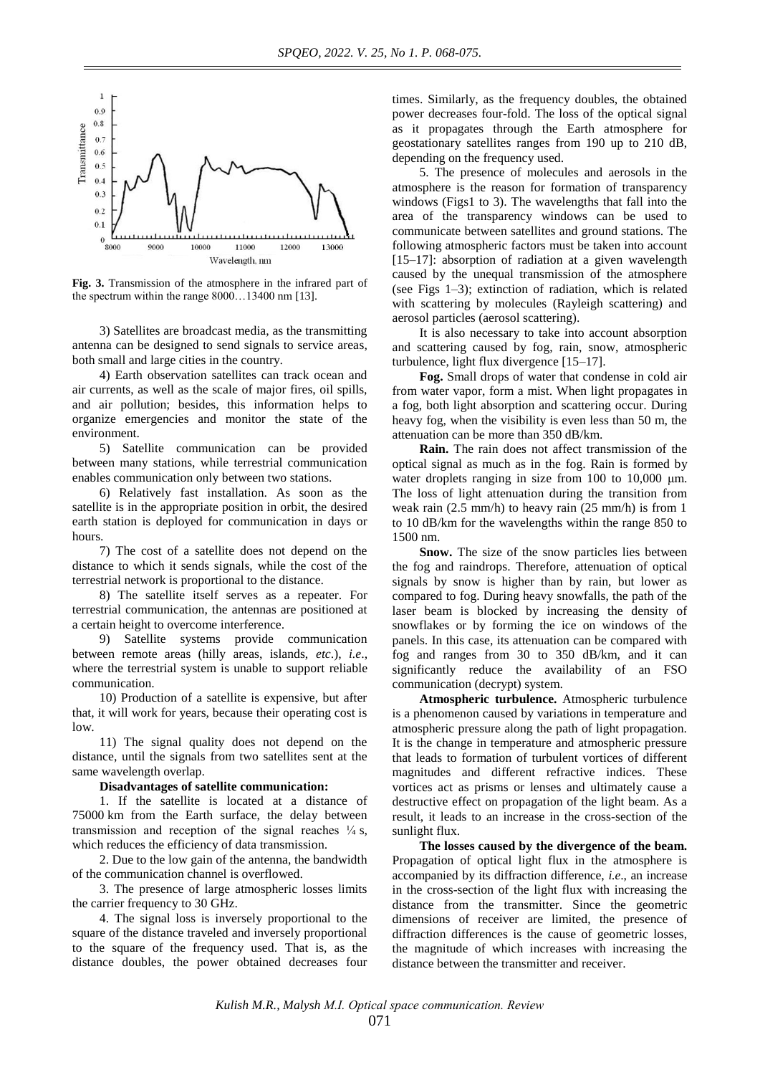

**Fig. 3.** Transmission of the atmosphere in the infrared part of the spectrum within the range 8000…13400 nm [13].

3) Satellites are broadcast media, as the transmitting antenna can be designed to send signals to service areas, both small and large cities in the country.

4) Earth observation satellites can track ocean and air currents, as well as the scale of major fires, oil spills, and air pollution; besides, this information helps to organize emergencies and monitor the state of the environment.

5) Satellite communication can be provided between many stations, while terrestrial communication enables communication only between two stations.

6) Relatively fast installation. As soon as the satellite is in the appropriate position in orbit, the desired earth station is deployed for communication in days or hours.

7) The cost of a satellite does not depend on the distance to which it sends signals, while the cost of the terrestrial network is proportional to the distance.

8) The satellite itself serves as a repeater. For terrestrial communication, the antennas are positioned at a certain height to overcome interference.

9) Satellite systems provide communication between remote areas (hilly areas, islands, *etc*.), *i.e*., where the terrestrial system is unable to support reliable communication.

10) Production of a satellite is expensive, but after that, it will work for years, because their operating cost is low.

11) The signal quality does not depend on the distance, until the signals from two satellites sent at the same wavelength overlap.

### **Disadvantages of satellite communication:**

1. If the satellite is located at a distance of 75000 km from the Earth surface, the delay between transmission and reception of the signal reaches  $\frac{1}{4}$  s, which reduces the efficiency of data transmission.

2. Due to the low gain of the antenna, the bandwidth of the communication channel is overflowed.

3. The presence of large atmospheric losses limits the carrier frequency to 30 GHz.

4. The signal loss is inversely proportional to the square of the distance traveled and inversely proportional to the square of the frequency used. That is, as the distance doubles, the power obtained decreases four

times. Similarly, as the frequency doubles, the obtained power decreases four-fold. The loss of the optical signal as it propagates through the Earth atmosphere for geostationary satellites ranges from 190 up to 210 dB, depending on the frequency used.

5. The presence of molecules and aerosols in the atmosphere is the reason for formation of transparency windows (Figs1 to 3). The wavelengths that fall into the area of the transparency windows can be used to communicate between satellites and ground stations. The following atmospheric factors must be taken into account  $[15–17]$ : absorption of radiation at a given wavelength caused by the unequal transmission of the atmosphere (see Figs 1–3); extinction of radiation, which is related with scattering by molecules (Rayleigh scattering) and aerosol particles (aerosol scattering).

It is also necessary to take into account absorption and scattering caused by fog, rain, snow, atmospheric turbulence, light flux divergence [15–17].

**Fog.** Small drops of water that condense in cold air from water vapor, form a mist. When light propagates in a fog, both light absorption and scattering occur. During heavy fog, when the visibility is even less than 50 m, the attenuation can be more than 350 dB/km.

**Rain.** The rain does not affect transmission of the optical signal as much as in the fog. Rain is formed by water droplets ranging in size from 100 to 10,000 μm. The loss of light attenuation during the transition from weak rain (2.5 mm/h) to heavy rain (25 mm/h) is from 1 to 10 dB/km for the wavelengths within the range 850 to 1500 nm.

**Snow.** The size of the snow particles lies between the fog and raindrops. Therefore, attenuation of optical signals by snow is higher than by rain, but lower as compared to fog. During heavy snowfalls, the path of the laser beam is blocked by increasing the density of snowflakes or by forming the ice on windows of the panels. In this case, its attenuation can be compared with fog and ranges from 30 to 350 dB/km, and it can significantly reduce the availability of an FSO communication (decrypt) system.

**Atmospheric turbulence.** Atmospheric turbulence is a phenomenon caused by variations in temperature and atmospheric pressure along the path of light propagation. It is the change in temperature and atmospheric pressure that leads to formation of turbulent vortices of different magnitudes and different refractive indices. These vortices act as prisms or lenses and ultimately cause a destructive effect on propagation of the light beam. As a result, it leads to an increase in the cross-section of the sunlight flux.

**The losses caused by the divergence of the beam.** Propagation of optical light flux in the atmosphere is accompanied by its diffraction difference, *i.e*., an increase in the cross-section of the light flux with increasing the distance from the transmitter. Since the geometric dimensions of receiver are limited, the presence of diffraction differences is the cause of geometric losses, the magnitude of which increases with increasing the distance between the transmitter and receiver.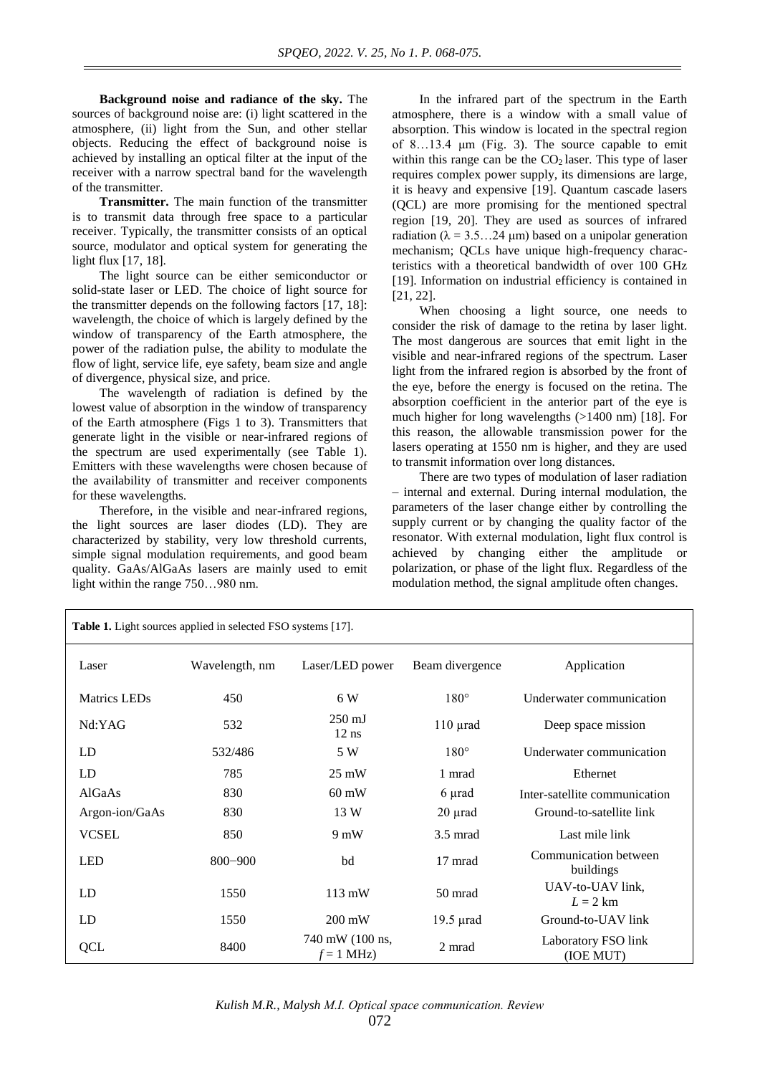**Background noise and radiance of the sky.** The sources of background noise are: (i) light scattered in the atmosphere, (ii) light from the Sun, and other stellar objects. Reducing the effect of background noise is achieved by installing an optical filter at the input of the receiver with a narrow spectral band for the wavelength of the transmitter.

**Transmitter.** The main function of the transmitter is to transmit data through free space to a particular receiver. Typically, the transmitter consists of an optical source, modulator and optical system for generating the light flux [17, 18].

The light source can be either semiconductor or solid-state laser or LED. The choice of light source for the transmitter depends on the following factors [17, 18]: wavelength, the choice of which is largely defined by the window of transparency of the Earth atmosphere, the power of the radiation pulse, the ability to modulate the flow of light, service life, eye safety, beam size and angle of divergence, physical size, and price.

The wavelength of radiation is defined by the lowest value of absorption in the window of transparency of the Earth atmosphere (Figs 1 to 3). Transmitters that generate light in the visible or near-infrared regions of the spectrum are used experimentally (see Table 1). Emitters with these wavelengths were chosen because of the availability of transmitter and receiver components for these wavelengths.

Therefore, in the visible and near-infrared regions, the light sources are laser diodes (LD). They are characterized by stability, very low threshold currents, simple signal modulation requirements, and good beam quality. GaAs/AlGaAs lasers are mainly used to emit light within the range 750…980 nm.

In the infrared part of the spectrum in the Earth atmosphere, there is a window with a small value of absorption. This window is located in the spectral region of 8…13.4 μm (Fig. 3). The source capable to emit within this range can be the  $CO<sub>2</sub>$  laser. This type of laser requires complex power supply, its dimensions are large, it is heavy and expensive [19]. Quantum cascade lasers (QCL) are more promising for the mentioned spectral region [19, 20]. They are used as sources of infrared radiation ( $\lambda = 3.5...24 \mu m$ ) based on a unipolar generation mechanism; QCLs have unique high-frequency characteristics with a theoretical bandwidth of over 100 GHz [19]. Information on industrial efficiency is contained in [21, 22].

When choosing a light source, one needs to consider the risk of damage to the retina by laser light. The most dangerous are sources that emit light in the visible and near-infrared regions of the spectrum. Laser light from the infrared region is absorbed by the front of the eye, before the energy is focused on the retina. The absorption coefficient in the anterior part of the eye is much higher for long wavelengths (>1400 nm) [18]. For this reason, the allowable transmission power for the lasers operating at 1550 nm is higher, and they are used to transmit information over long distances.

There are two types of modulation of laser radiation – internal and external. During internal modulation, the parameters of the laser change either by controlling the supply current or by changing the quality factor of the resonator. With external modulation, light flux control is achieved by changing either the amplitude or polarization, or phase of the light flux. Regardless of the modulation method, the signal amplitude often changes.

| <b>Table 1.</b> Light sources applied in selected FSO systems [17]. |                |                                 |                    |                                    |  |
|---------------------------------------------------------------------|----------------|---------------------------------|--------------------|------------------------------------|--|
| Laser                                                               | Wavelength, nm | Laser/LED power                 | Beam divergence    | Application                        |  |
| <b>Matrics LEDs</b>                                                 | 450            | 6 W                             | $180^\circ$        | Underwater communication           |  |
| Nd:YAG                                                              | 532            | $250 \text{ mJ}$<br>$12$ ns     | $110 \mu$ rad      | Deep space mission                 |  |
| LD                                                                  | 532/486        | 5 W                             | $180^\circ$        | Underwater communication           |  |
| LD                                                                  | 785            | $25 \text{ mW}$                 | 1 mrad             | Ethernet                           |  |
| AlGaAs                                                              | 830            | $60 \text{ mW}$                 | 6 µrad             | Inter-satellite communication      |  |
| Argon-ion/GaAs                                                      | 830            | 13 W                            | $20 \mu$ rad       | Ground-to-satellite link           |  |
| <b>VCSEL</b>                                                        | 850            | $9 \text{ mW}$                  | $3.5 \text{ mrad}$ | Last mile link                     |  |
| <b>LED</b>                                                          | $800 - 900$    | bd                              | 17 mrad            | Communication between<br>buildings |  |
| LD                                                                  | 1550           | $113 \text{ mW}$                | 50 mrad            | UAV-to-UAV link,<br>$L = 2$ km     |  |
| LD                                                                  | 1550           | $200 \text{ mW}$                | $19.5$ $\mu$ rad   | Ground-to-UAV link                 |  |
| <b>QCL</b>                                                          | 8400           | 740 mW (100 ns,<br>$f = 1$ MHz) | 2 mrad             | Laboratory FSO link<br>(IOE MUT)   |  |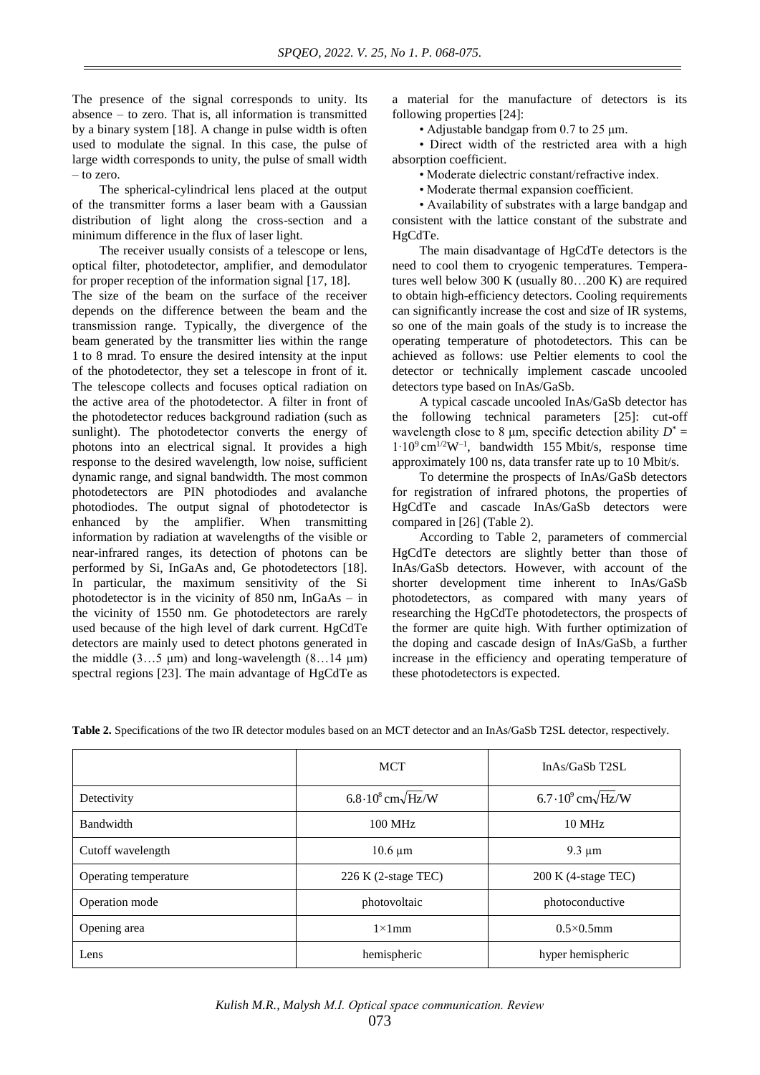The presence of the signal corresponds to unity. Its absence – to zero. That is, all information is transmitted by a binary system [18]. A change in pulse width is often used to modulate the signal. In this case, the pulse of large width corresponds to unity, the pulse of small width – to zero.

The spherical-cylindrical lens placed at the output of the transmitter forms a laser beam with a Gaussian distribution of light along the cross-section and a minimum difference in the flux of laser light.

The receiver usually consists of a telescope or lens, optical filter, photodetector, amplifier, and demodulator for proper reception of the information signal [17, 18].

The size of the beam on the surface of the receiver depends on the difference between the beam and the transmission range. Typically, the divergence of the beam generated by the transmitter lies within the range 1 to 8 mrad. To ensure the desired intensity at the input of the photodetector, they set a telescope in front of it. The telescope collects and focuses optical radiation on the active area of the photodetector. A filter in front of the photodetector reduces background radiation (such as sunlight). The photodetector converts the energy of photons into an electrical signal. It provides a high response to the desired wavelength, low noise, sufficient dynamic range, and signal bandwidth. The most common photodetectors are PIN photodiodes and avalanche photodiodes. The output signal of photodetector is enhanced by the amplifier. When transmitting information by radiation at wavelengths of the visible or near-infrared ranges, its detection of photons can be performed by Si, InGaAs and, Ge photodetectors [18]. In particular, the maximum sensitivity of the Si photodetector is in the vicinity of  $850 \text{ nm}$ , InGaAs – in the vicinity of 1550 nm. Ge photodetectors are rarely used because of the high level of dark current. HgCdTe detectors are mainly used to detect photons generated in the middle  $(3...5 \mu m)$  and long-wavelength  $(8...14 \mu m)$ spectral regions [23]. The main advantage of HgCdTe as

a material for the manufacture of detectors is its following properties [24]:

• Adjustable bandgap from 0.7 to 25 μm.

• Direct width of the restricted area with a high absorption coefficient.

• Moderate dielectric constant/refractive index.

• Moderate thermal expansion coefficient.

• Availability of substrates with a large bandgap and consistent with the lattice constant of the substrate and HgCdTe.

The main disadvantage of HgCdTe detectors is the need to cool them to cryogenic temperatures. Temperatures well below 300 K (usually 80…200 K) are required to obtain high-efficiency detectors. Cooling requirements can significantly increase the cost and size of IR systems, so one of the main goals of the study is to increase the operating temperature of photodetectors. This can be achieved as follows: use Peltier elements to cool the detector or technically implement cascade uncooled detectors type based on InAs/GaSb.

A typical cascade uncooled InAs/GaSb detector has the following technical parameters [25]: cut-off wavelength close to 8  $\mu$ m, specific detection ability  $D^* =$ 1∙10<sup>9</sup> cm1/2W–1 , bandwidth 155 Mbit/s, response time approximately 100 ns, data transfer rate up to 10 Mbit/s.

To determine the prospects of InAs/GaSb detectors for registration of infrared photons, the properties of HgCdTe and cascade InAs/GaSb detectors were compared in [26] (Table 2).

According to Table 2, parameters of commercial HgCdTe detectors are slightly better than those of InAs/GaSb detectors. However, with account of the shorter development time inherent to InAs/GaSb photodetectors, as compared with many years of researching the HgCdTe photodetectors, the prospects of the former are quite high. With further optimization of the doping and cascade design of InAs/GaSb, a further increase in the efficiency and operating temperature of these photodetectors is expected.

|                       | <b>MCT</b>                              | $InAs/GaSb$ T2SL                         |
|-----------------------|-----------------------------------------|------------------------------------------|
| Detectivity           | $6.8\cdot10^8$ cm $\sqrt{\text{Hz}}$ /W | $6.7 \cdot 10^9$ cm $\sqrt{\text{Hz/W}}$ |
| Bandwidth             | $100$ MHz                               | 10 MHz                                   |
| Cutoff wavelength     | $10.6 \mu m$                            | $9.3 \mu m$                              |
| Operating temperature | $226$ K (2-stage TEC)                   | 200 K (4-stage TEC)                      |
| Operation mode        | photovoltaic                            | photoconductive                          |
| Opening area          | $1\times1$ mm                           | $0.5\times0.5$ mm                        |
| Lens                  | hemispheric                             |                                          |

**Table 2.** Specifications of the two IR detector modules based on an MCT detector and an InAs/GaSb T2SL detector, respectively.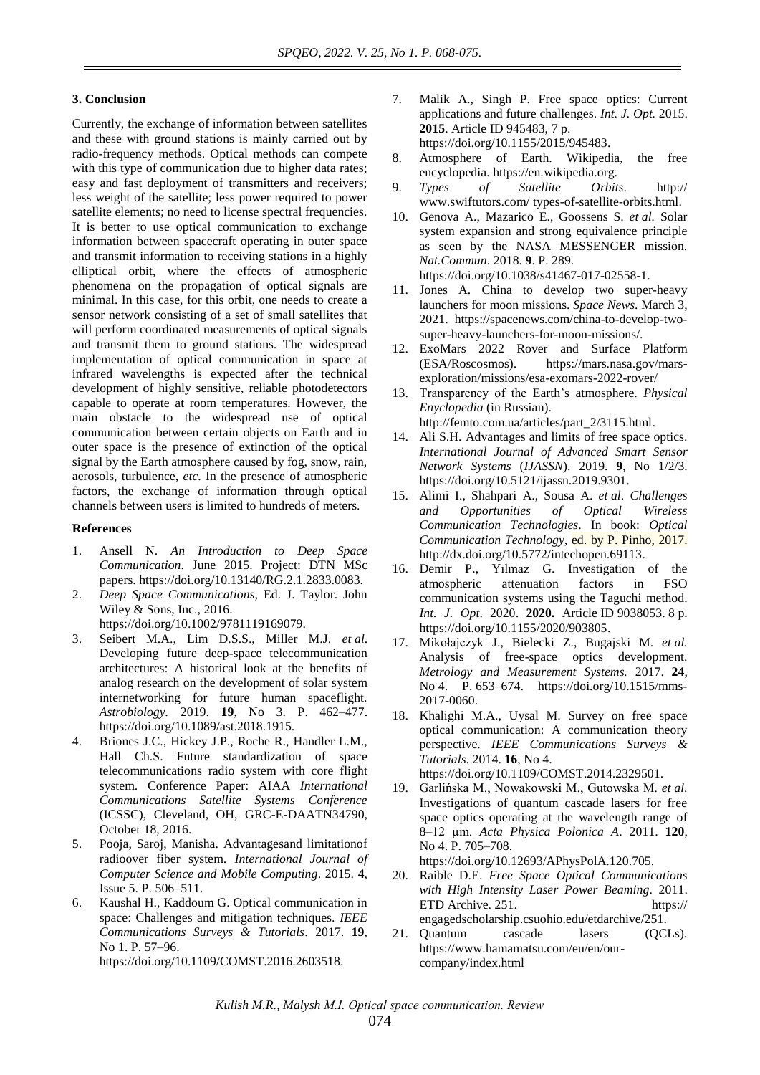### **3. Conclusion**

Currently, the exchange of information between satellites and these with ground stations is mainly carried out by radio-frequency methods. Optical methods can compete with this type of communication due to higher data rates; easy and fast deployment of transmitters and receivers; less weight of the satellite; less power required to power satellite elements; no need to license spectral frequencies. It is better to use optical communication to exchange information between spacecraft operating in outer space and transmit information to receiving stations in a highly elliptical orbit, where the effects of atmospheric phenomena on the propagation of optical signals are minimal. In this case, for this orbit, one needs to create a sensor network consisting of a set of small satellites that will perform coordinated measurements of optical signals and transmit them to ground stations. The widespread implementation of optical communication in space at infrared wavelengths is expected after the technical development of highly sensitive, reliable photodetectors capable to operate at room temperatures. However, the main obstacle to the widespread use of optical communication between certain objects on Earth and in outer space is the presence of extinction of the optical signal by the Earth atmosphere caused by fog, snow, rain, aerosols, turbulence, *etc*. In the presence of atmospheric factors, the exchange of information through optical channels between users is limited to hundreds of meters.

#### **References**

- 1. Ansell N. *An Introduction to Deep Space Communication*. June 2015. Project: [DTN](https://www.researchgate.net/project/DTN-MSc-papers) MSc [papers.](https://www.researchgate.net/project/DTN-MSc-papers) https://doi.org/10.13140/RG.2.1.2833.0083.
- 2. *Deep Space Communications*, Ed. J. Taylor. John Wiley & Sons, Inc., 2016.
- https://doi.org/10.1002/9781119169079.
- 3. Seibert M.A., Lim D.S.S., Miller M.J. *et al*. Developing future deep-space telecommunication architectures: A historical look at the benefits of analog research on the development of solar system internetworking for future human spaceflight. *Astrobiology.* 2019. **19**, No 3. P. 462–477. https://doi.org/10.1089/ast.2018.1915.
- 4. Briones J.C., Hickey J.P., Roche R., Handler L.M., Hall Ch.S. Future standardization of space telecommunications radio system with core flight system. Conference Paper: AIAA *International Communications Satellite Systems Conference* (ICSSC), Cleveland, OH, GRC-E-DAATN34790, October 18, 2016.
- 5. Pooja, Saroj, Manisha. Advantagesand limitationof radioover fiber system. *International Journal of Computer Science and Mobile Computing*. 2015. **4**, Issue 5. P. 506–511.
- 6. Kaushal H., Kaddoum G. Optical communication in space: Challenges and mitigation techniques. *IEEE Communications Surveys & Tutorials*. 2017. **19**, No 1. P. 57–96. https://doi.org/10.1109/COMST.2016.2603518.
- 7. Malik A., Singh P. Free space optics: Current applications and future challenges. *Int. J. Opt.* 2015. **2015**. Article ID 945483, 7 p. [https://doi.org/10.1155/2015/945483.](https://doi.org/10.1155/2015/945483)
- 8. Atmosphere of Earth. Wikipedia, the free encyclopedia. https://en.wikipedia.org.
- 9. *Types of Satellite Orbits*. http:// www.swiftutors.com/ types-of-satellite-orbits.html.
- 10. Genova A., Mazarico E., Goossens S. *et al.* Solar system expansion and strong equivalence principle as seen by the NASA MESSENGER mission. *Nat.Commun*. 2018. **9**. P. 289. https://doi.org/10.1038/s41467-017-02558-1.
- 11. Jones A. China to develop two super-heavy launchers for moon missions. *Space News*. March 3, 2021. https://spacenews.com/china-to-develop-twosuper-heavy-launchers-for-moon-missions/.
- 12. ExoMars 2022 Rover and Surface Platform (ESA/Roscosmos). https://mars.nasa.gov/marsexploration/missions/esa-exomars-2022-rover/
- 13. Тransparency of the Earth's atmosphere. *Physical Enyclopedia* (in Russian).
- http://femto.com.ua/articles/part\_2/3115.html.
- 14. Ali S.H. Advantages and limits of free space optics. *International Journal of Advanced Smart Sensor Network Systems* (*IJASSN*). 2019. **9**, No 1/2/3. https://doi.org/10.5121/ijassn.2019.9301.
- 15. Alimi I., Shahpari A., Sousa A. *et al*. *Challenges and Opportunities of Optical Wireless Communication Technologies*. In book: *Optical Communication Technology*, ed. by P. Pinho, 2017. [http://dx.doi.org/10.5772/intechopen.69113.](http://dx.doi.org/10.5772/intechopen.69113)
- 16. Demir P., Yılmaz G. Investigation of the atmospheric attenuation factors in FSO communication systems using the Taguchi method. *Int. J. Opt*. 2020. **2020.** Article ID 9038053. 8 p. https://doi.org/10.1155/2020/903805.
- 17. Mikołajczyk J., Bielecki Z., Bugajski M. *et al.* Analysis of free-space optics development. *Metrology and Measurement Systems.* 2017. **24**, No 4. P. 653–674. https://doi.org[/10.1515/mms-](http://dx.doi.org/10.1515/mms-2017-0060)[2017-0060.](http://dx.doi.org/10.1515/mms-2017-0060)
- 18. Khalighi M.A., Uysal M. Survey on free space optical communication: A communication theory perspective. *IEEE Communications Surveys & Tutorials*. 2014. **16**, No 4. https://doi.org/10.1109/COMST.2014.2329501.
- 19. Garlińska M., Nowakowski M., Gutowska M. *et al*. Investigations of quantum cascade lasers for free space optics operating at the wavelength range of 8–12 µm. *Acta Physica Polonica A*. 2011. **120**, No 4. P. 705–708.

https://doi.org/10.12693/APhysPolA.120.705.

- 20. Raible D.E. *Free Space Optical Communications with High Intensity Laser Power Beaming*. 2011. ETD Archive. 251. https:// engagedscholarship.csuohio.edu/etdarchive/251.
- 21. Quantum cascade lasers (QCLs). https://www.hamamatsu.com/eu/en/ourcompany/index.html

*Kulish M.R., Malysh М.І. Optical space communication. Review*